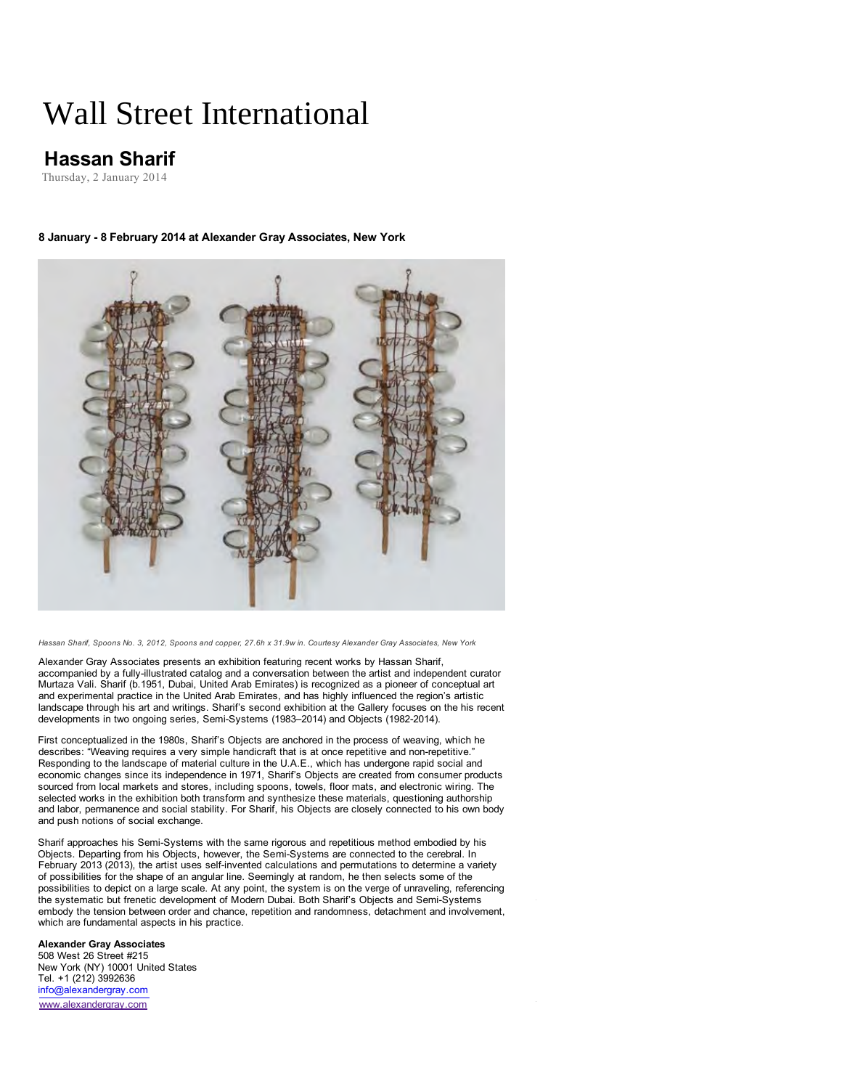# Wall Street International

# **Hassan Sharif**

Thursday, 2 January 2014

# **8 January - 8 February 2014 at Alexander Gray Associates, New York**



*Hassan Sharif, Spoons No. 3, 2012, Spoons and copper, 27.6h x 31.9w in. Courtesy Alexander Gray Associates, New York*

Alexander Gray Associates presents an exhibition featuring recent works by Hassan Sharif, accompanied by a fully-illustrated catalog and a conversation between the artist and independent curator Murtaza Vali. Sharif (b.1951, Dubai, United Arab Emirates) is recognized as a pioneer of conceptual art and experimental practice in the United Arab Emirates, and has highly influenced the region's artistic landscape through his art and writings. Sharif's second exhibition at the Gallery focuses on the his recent developments in two ongoing series, Semi-Systems (1983–2014) and Objects (1982-2014).

First conceptualized in the 1980s, Sharif's Objects are anchored in the process of weaving, which he describes: "Weaving requires a very simple handicraft that is at once repetitive and non-repetitive." Responding to the landscape of material culture in the U.A.E., which has undergone rapid social and economic changes since its independence in 1971, Sharif's Objects are created from consumer products sourced from local markets and stores, including spoons, towels, floor mats, and electronic wiring. The selected works in the exhibition both transform and synthesize these materials, questioning authorship and labor, permanence and social stability. For Sharif, his Objects are closely connected to his own body and push notions of social exchange.

Sharif approaches his Semi-Systems with the same rigorous and repetitious method embodied by his Objects. Departing from his Objects, however, the Semi-Systems are connected to the cerebral. In February 2013 (2013), the artist uses self-invented calculations and permutations to determine a variety of possibilities for the shape of an angular line. Seemingly at random, he then selects some of the possibilities to depict on a large scale. At any point, the system is on the verge of unraveling, referencing the systematic but frenetic development of Modern Dubai. Both Sharif's Objects and Semi-Systems embody the tension between order and chance, repetition and randomness, detachment and involvement, which are fundamental aspects in his practice.

## **Alexander Gray Associates**

508 West 26 Street #215 New York (NY) 10001 United States Tel. +1 (212) 3992636 info@alexandergray.com www.alexandergray.com